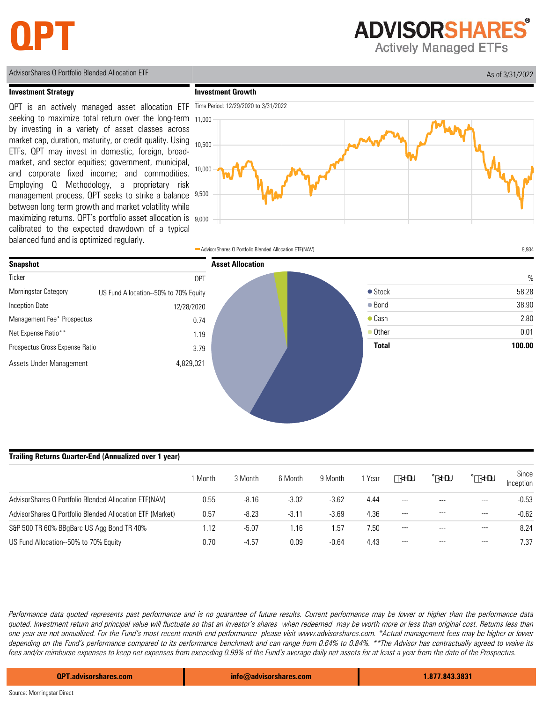## **QPT**

**ADVISORSHARES Actively Managed ETFs** 

AdvisorShares Q Portfolio Blended Allocation ETF As of 3/31/2022

#### **Investment Strategy**

**Investment Growth**







#### **Trailing Returns Quarter-End (Annualized over 1 year)**

|                                                           | 1 Month | 3 Month | 6 Month | 9 Month | <sub>i</sub> Year | <b>NUT</b> | <b>NNUF</b> | %SMUF   | Since<br>Inception |
|-----------------------------------------------------------|---------|---------|---------|---------|-------------------|------------|-------------|---------|--------------------|
| AdvisorShares Q Portfolio Blended Allocation ETF(NAV)     | 0.55    | $-8.16$ | $-3.02$ | $-3.62$ | 4.44              | $---$      | $- - -$     | $---$   | $-0.53$            |
| AdvisorShares Q Portfolio Blended Allocation ETF (Market) | 0.57    | $-8.23$ | $-3.11$ | $-3.69$ | 4.36              | $-$        | ---         | $  -$   | $-0.62$            |
| S&P 500 TR 60% BBgBarc US Agg Bond TR 40%                 | 1.12    | $-5.07$ | .16     | 1.57    | 7.50              | $---$      | ---         | $---$   | 8.24               |
| US Fund Allocation--50% to 70% Equity                     | 0.70    | $-4.57$ | 0.09    | $-0.64$ | 4.43              | $---$      | $---$       | $- - -$ | 7.37               |

Performance data quoted represents past performance and is no guarantee of future results. Current performance may be lower or higher than the performance data quoted. Investment return and principal value will fluctuate so that an investor's shares when redeemed may be worth more or less than original cost. Returns less than one year are not annualized. For the Fund's most recent month end performance please visit www.advisorshares.com. \*Actual management fees may be higher or lower depending on the Fund's performance compared to its performance benchmark and can range from 0.64% to 0.84%. \*\*The Advisor has contractually agreed to waive its fees and/or reimburse expenses to keep net expenses from exceeding 0.99% of the Fund's average daily net assets for at least a year from the date of the Prospectus.